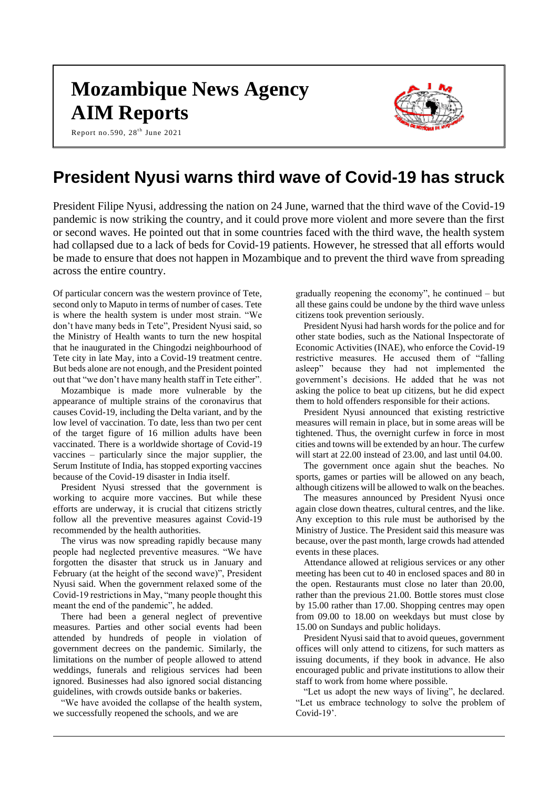# **Mozambique News Agency AIM Reports**

Report no.590,  $28^{\text{th}}$  June 2021



# **President Nyusi warns third wave of Covid-19 has struck**

President Filipe Nyusi, addressing the nation on 24 June, warned that the third wave of the Covid-19 pandemic is now striking the country, and it could prove more violent and more severe than the first or second waves. He pointed out that in some countries faced with the third wave, the health system had collapsed due to a lack of beds for Covid-19 patients. However, he stressed that all efforts would be made to ensure that does not happen in Mozambique and to prevent the third wave from spreading across the entire country.

Of particular concern was the western province of Tete, second only to Maputo in terms of number of cases. Tete is where the health system is under most strain. "We don't have many beds in Tete", President Nyusi said, so the Ministry of Health wants to turn the new hospital that he inaugurated in the Chingodzi neighbourhood of Tete city in late May, into a Covid-19 treatment centre. But beds alone are not enough, and the President pointed out that "we don't have many health staff in Tete either".

Mozambique is made more vulnerable by the appearance of multiple strains of the coronavirus that causes Covid-19, including the Delta variant, and by the low level of vaccination. To date, less than two per cent of the target figure of 16 million adults have been vaccinated. There is a worldwide shortage of Covid-19 vaccines – particularly since the major supplier, the Serum Institute of India, has stopped exporting vaccines because of the Covid-19 disaster in India itself.

President Nyusi stressed that the government is working to acquire more vaccines. But while these efforts are underway, it is crucial that citizens strictly follow all the preventive measures against Covid-19 recommended by the health authorities.

The virus was now spreading rapidly because many people had neglected preventive measures. "We have forgotten the disaster that struck us in January and February (at the height of the second wave)", President Nyusi said. When the government relaxed some of the Covid-19 restrictions in May, "many people thought this meant the end of the pandemic", he added.

There had been a general neglect of preventive measures. Parties and other social events had been attended by hundreds of people in violation of government decrees on the pandemic. Similarly, the limitations on the number of people allowed to attend weddings, funerals and religious services had been ignored. Businesses had also ignored social distancing guidelines, with crowds outside banks or bakeries.

"We have avoided the collapse of the health system, we successfully reopened the schools, and we are

gradually reopening the economy", he continued – but all these gains could be undone by the third wave unless citizens took prevention seriously.

President Nyusi had harsh words for the police and for other state bodies, such as the National Inspectorate of Economic Activities (INAE), who enforce the Covid-19 restrictive measures. He accused them of "falling asleep" because they had not implemented the government's decisions. He added that he was not asking the police to beat up citizens, but he did expect them to hold offenders responsible for their actions.

President Nyusi announced that existing restrictive measures will remain in place, but in some areas will be tightened. Thus, the overnight curfew in force in most cities and towns will be extended by an hour. The curfew will start at 22.00 instead of 23.00, and last until 04.00.

The government once again shut the beaches. No sports, games or parties will be allowed on any beach, although citizens will be allowed to walk on the beaches.

The measures announced by President Nyusi once again close down theatres, cultural centres, and the like. Any exception to this rule must be authorised by the Ministry of Justice. The President said this measure was because, over the past month, large crowds had attended events in these places.

Attendance allowed at religious services or any other meeting has been cut to 40 in enclosed spaces and 80 in the open. Restaurants must close no later than 20.00, rather than the previous 21.00. Bottle stores must close by 15.00 rather than 17.00. Shopping centres may open from 09.00 to 18.00 on weekdays but must close by 15.00 on Sundays and public holidays.

President Nyusi said that to avoid queues, government offices will only attend to citizens, for such matters as issuing documents, if they book in advance. He also encouraged public and private institutions to allow their staff to work from home where possible.

"Let us adopt the new ways of living", he declared. "Let us embrace technology to solve the problem of Covid-19'.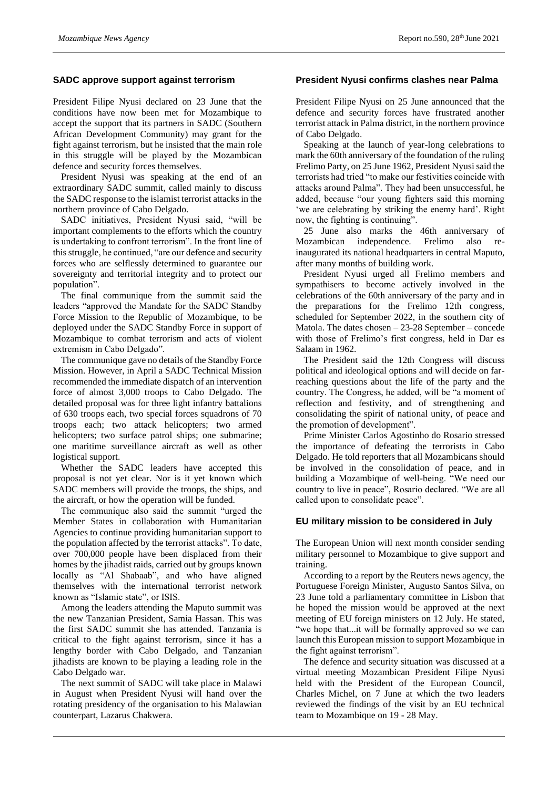#### **SADC approve support against terrorism**

President Filipe Nyusi declared on 23 June that the conditions have now been met for Mozambique to accept the support that its partners in SADC (Southern African Development Community) may grant for the fight against terrorism, but he insisted that the main role in this struggle will be played by the Mozambican defence and security forces themselves.

President Nyusi was speaking at the end of an extraordinary SADC summit, called mainly to discuss the SADC response to the islamist terrorist attacks in the northern province of Cabo Delgado.

SADC initiatives, President Nyusi said, "will be important complements to the efforts which the country is undertaking to confront terrorism". In the front line of this struggle, he continued, "are our defence and security forces who are selflessly determined to guarantee our sovereignty and territorial integrity and to protect our population".

The final communique from the summit said the leaders "approved the Mandate for the SADC Standby Force Mission to the Republic of Mozambique, to be deployed under the SADC Standby Force in support of Mozambique to combat terrorism and acts of violent extremism in Cabo Delgado".

The communique gave no details of the Standby Force Mission. However, in April a SADC Technical Mission recommended the immediate dispatch of an intervention force of almost 3,000 troops to Cabo Delgado. The detailed proposal was for three light infantry battalions of 630 troops each, two special forces squadrons of 70 troops each; two attack helicopters; two armed helicopters; two surface patrol ships; one submarine; one maritime surveillance aircraft as well as other logistical support.

Whether the SADC leaders have accepted this proposal is not yet clear. Nor is it yet known which SADC members will provide the troops, the ships, and the aircraft, or how the operation will be funded.

The communique also said the summit "urged the Member States in collaboration with Humanitarian Agencies to continue providing humanitarian support to the population affected by the terrorist attacks". To date, over 700,000 people have been displaced from their homes by the jihadist raids, carried out by groups known locally as "Al Shabaab", and who have aligned themselves with the international terrorist network known as "Islamic state", or ISIS.

Among the leaders attending the Maputo summit was the new Tanzanian President, Samia Hassan. This was the first SADC summit she has attended. Tanzania is critical to the fight against terrorism, since it has a lengthy border with Cabo Delgado, and Tanzanian jihadists are known to be playing a leading role in the Cabo Delgado war.

The next summit of SADC will take place in Malawi in August when President Nyusi will hand over the rotating presidency of the organisation to his Malawian counterpart, Lazarus Chakwera.

#### **President Nyusi confirms clashes near Palma**

President Filipe Nyusi on 25 June announced that the defence and security forces have frustrated another terrorist attack in Palma district, in the northern province of Cabo Delgado.

Speaking at the launch of year-long celebrations to mark the 60th anniversary of the foundation of the ruling Frelimo Party, on 25 June 1962, President Nyusi said the terrorists had tried "to make our festivities coincide with attacks around Palma". They had been unsuccessful, he added, because "our young fighters said this morning 'we are celebrating by striking the enemy hard'. Right now, the fighting is continuing".

25 June also marks the 46th anniversary of Mozambican independence. Frelimo also reinaugurated its national headquarters in central Maputo, after many months of building work.

President Nyusi urged all Frelimo members and sympathisers to become actively involved in the celebrations of the 60th anniversary of the party and in the preparations for the Frelimo 12th congress, scheduled for September 2022, in the southern city of Matola. The dates chosen – 23-28 September – concede with those of Frelimo's first congress, held in Dar es Salaam in 1962.

The President said the 12th Congress will discuss political and ideological options and will decide on farreaching questions about the life of the party and the country. The Congress, he added, will be "a moment of reflection and festivity, and of strengthening and consolidating the spirit of national unity, of peace and the promotion of development".

Prime Minister Carlos Agostinho do Rosario stressed the importance of defeating the terrorists in Cabo Delgado. He told reporters that all Mozambicans should be involved in the consolidation of peace, and in building a Mozambique of well-being. "We need our country to live in peace", Rosario declared. "We are all called upon to consolidate peace".

#### **EU military mission to be considered in July**

The European Union will next month consider sending military personnel to Mozambique to give support and training.

According to a report by the Reuters news agency, the Portuguese Foreign Minister, Augusto Santos Silva, on 23 June told a parliamentary committee in Lisbon that he hoped the mission would be approved at the next meeting of EU foreign ministers on 12 July. He stated, "we hope that...it will be formally approved so we can launch this European mission to support Mozambique in the fight against terrorism".

The defence and security situation was discussed at a virtual meeting Mozambican President Filipe Nyusi held with the President of the European Council, Charles Michel, on 7 June at which the two leaders reviewed the findings of the visit by an EU technical team to Mozambique on 19 - 28 May.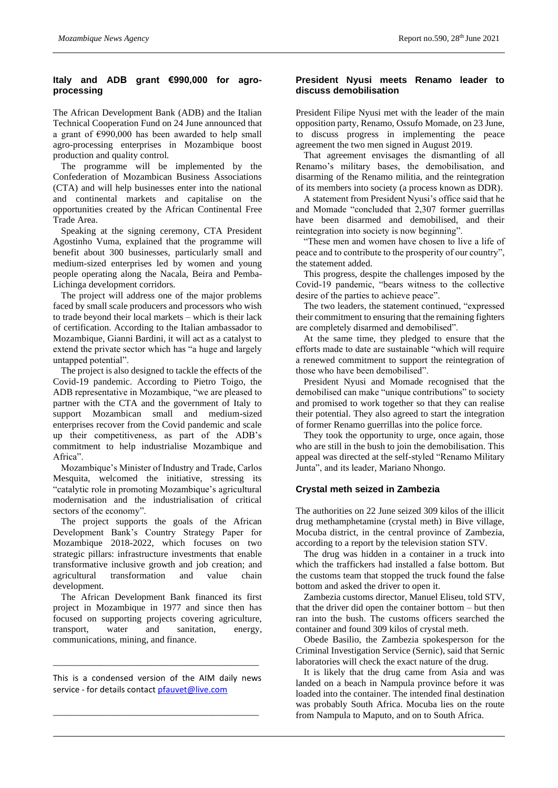# **Italy and ADB grant €990,000 for agroprocessing**

The African Development Bank (ADB) and the Italian Technical Cooperation Fund on 24 June announced that a grant of €990,000 has been awarded to help small agro-processing enterprises in Mozambique boost production and quality control.

The programme will be implemented by the Confederation of Mozambican Business Associations (CTA) and will help businesses enter into the national and continental markets and capitalise on the opportunities created by the African Continental Free Trade Area.

Speaking at the signing ceremony, CTA President Agostinho Vuma, explained that the programme will benefit about 300 businesses, particularly small and medium-sized enterprises led by women and young people operating along the Nacala, Beira and Pemba-Lichinga development corridors.

The project will address one of the major problems faced by small scale producers and processors who wish to trade beyond their local markets – which is their lack of certification. According to the Italian ambassador to Mozambique, Gianni Bardini, it will act as a catalyst to extend the private sector which has "a huge and largely untapped potential".

The project is also designed to tackle the effects of the Covid-19 pandemic. According to Pietro Toigo, the ADB representative in Mozambique, "we are pleased to partner with the CTA and the government of Italy to support Mozambican small and medium-sized enterprises recover from the Covid pandemic and scale up their competitiveness, as part of the ADB's commitment to help industrialise Mozambique and Africa".

Mozambique's Minister of Industry and Trade, Carlos Mesquita, welcomed the initiative, stressing its "catalytic role in promoting Mozambique's agricultural modernisation and the industrialisation of critical sectors of the economy".

The project supports the goals of the African Development Bank's Country Strategy Paper for Mozambique 2018-2022, which focuses on two strategic pillars: infrastructure investments that enable transformative inclusive growth and job creation; and agricultural transformation and value chain development.

The African Development Bank financed its first project in Mozambique in 1977 and since then has focused on supporting projects covering agriculture, transport, water and sanitation, energy, communications, mining, and finance.

This is a condensed version of the AIM daily news service - for details contac[t pfauvet@live.com](mailto:pfauvet@live.com)

\_\_\_\_\_\_\_\_\_\_\_\_\_\_\_\_\_\_\_\_\_\_\_\_\_\_\_\_\_\_\_\_\_\_\_\_\_\_\_\_\_\_\_\_

\_\_\_\_\_\_\_\_\_\_\_\_\_\_\_\_\_\_\_\_\_\_\_\_\_\_\_\_\_\_\_\_\_\_\_\_\_\_\_\_\_\_\_\_

#### **President Nyusi meets Renamo leader to discuss demobilisation**

President Filipe Nyusi met with the leader of the main opposition party, Renamo, Ossufo Momade, on 23 June, to discuss progress in implementing the peace agreement the two men signed in August 2019.

That agreement envisages the dismantling of all Renamo's military bases, the demobilisation, and disarming of the Renamo militia, and the reintegration of its members into society (a process known as DDR).

A statement from President Nyusi's office said that he and Momade "concluded that 2,307 former guerrillas have been disarmed and demobilised, and their reintegration into society is now beginning".

"These men and women have chosen to live a life of peace and to contribute to the prosperity of our country", the statement added.

This progress, despite the challenges imposed by the Covid-19 pandemic, "bears witness to the collective desire of the parties to achieve peace".

The two leaders, the statement continued, "expressed their commitment to ensuring that the remaining fighters are completely disarmed and demobilised".

At the same time, they pledged to ensure that the efforts made to date are sustainable "which will require a renewed commitment to support the reintegration of those who have been demobilised".

President Nyusi and Momade recognised that the demobilised can make "unique contributions" to society and promised to work together so that they can realise their potential. They also agreed to start the integration of former Renamo guerrillas into the police force.

They took the opportunity to urge, once again, those who are still in the bush to join the demobilisation. This appeal was directed at the self-styled "Renamo Military Junta", and its leader, Mariano Nhongo.

# **Crystal meth seized in Zambezia**

The authorities on 22 June seized 309 kilos of the illicit drug methamphetamine (crystal meth) in Bive village, Mocuba district, in the central province of Zambezia, according to a report by the television station STV.

The drug was hidden in a container in a truck into which the traffickers had installed a false bottom. But the customs team that stopped the truck found the false bottom and asked the driver to open it.

Zambezia customs director, Manuel Eliseu, told STV, that the driver did open the container bottom – but then ran into the bush. The customs officers searched the container and found 309 kilos of crystal meth.

Obede Basilio, the Zambezia spokesperson for the Criminal Investigation Service (Sernic), said that Sernic laboratories will check the exact nature of the drug.

It is likely that the drug came from Asia and was landed on a beach in Nampula province before it was loaded into the container. The intended final destination was probably South Africa. Mocuba lies on the route from Nampula to Maputo, and on to South Africa.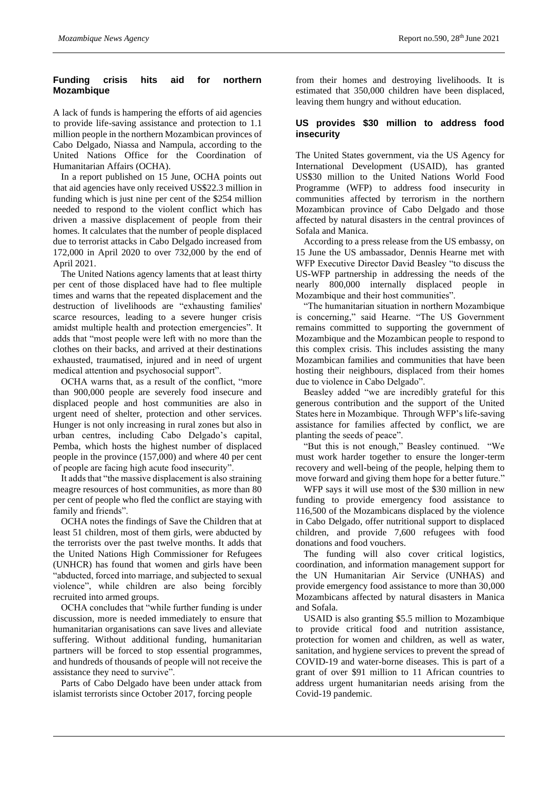# **Funding crisis hits aid for northern Mozambique**

A lack of funds is hampering the efforts of aid agencies to provide life-saving assistance and protection to 1.1 million people in the northern Mozambican provinces of Cabo Delgado, Niassa and Nampula, according to the United Nations Office for the Coordination of Humanitarian Affairs (OCHA).

In a report published on 15 June, OCHA points out that aid agencies have only received US\$22.3 million in funding which is just nine per cent of the \$254 million needed to respond to the violent conflict which has driven a massive displacement of people from their homes. It calculates that the number of people displaced due to terrorist attacks in Cabo Delgado increased from 172,000 in April 2020 to over 732,000 by the end of April 2021.

The United Nations agency laments that at least thirty per cent of those displaced have had to flee multiple times and warns that the repeated displacement and the destruction of livelihoods are "exhausting families' scarce resources, leading to a severe hunger crisis amidst multiple health and protection emergencies". It adds that "most people were left with no more than the clothes on their backs, and arrived at their destinations exhausted, traumatised, injured and in need of urgent medical attention and psychosocial support".

OCHA warns that, as a result of the conflict, "more than 900,000 people are severely food insecure and displaced people and host communities are also in urgent need of shelter, protection and other services. Hunger is not only increasing in rural zones but also in urban centres, including Cabo Delgado's capital, Pemba, which hosts the highest number of displaced people in the province (157,000) and where 40 per cent of people are facing high acute food insecurity".

It adds that "the massive displacement is also straining meagre resources of host communities, as more than 80 per cent of people who fled the conflict are staying with family and friends".

OCHA notes the findings of Save the Children that at least 51 children, most of them girls, were abducted by the terrorists over the past twelve months. It adds that the United Nations High Commissioner for Refugees (UNHCR) has found that women and girls have been "abducted, forced into marriage, and subjected to sexual violence", while children are also being forcibly recruited into armed groups.

OCHA concludes that "while further funding is under discussion, more is needed immediately to ensure that humanitarian organisations can save lives and alleviate suffering. Without additional funding, humanitarian partners will be forced to stop essential programmes, and hundreds of thousands of people will not receive the assistance they need to survive".

Parts of Cabo Delgado have been under attack from islamist terrorists since October 2017, forcing people

from their homes and destroying livelihoods. It is estimated that 350,000 children have been displaced, leaving them hungry and without education.

# **US provides \$30 million to address food insecurity**

The United States government, via the US Agency for International Development (USAID), has granted US\$30 million to the United Nations World Food Programme (WFP) to address food insecurity in communities affected by terrorism in the northern Mozambican province of Cabo Delgado and those affected by natural disasters in the central provinces of Sofala and Manica.

According to a press release from the US embassy, on 15 June the US ambassador, Dennis Hearne met with WFP Executive Director David Beasley "to discuss the US-WFP partnership in addressing the needs of the nearly 800,000 internally displaced people in Mozambique and their host communities".

"The humanitarian situation in northern Mozambique is concerning," said Hearne. "The US Government remains committed to supporting the government of Mozambique and the Mozambican people to respond to this complex crisis. This includes assisting the many Mozambican families and communities that have been hosting their neighbours, displaced from their homes due to violence in Cabo Delgado".

Beasley added "we are incredibly grateful for this generous contribution and the support of the United States here in Mozambique. Through WFP's life-saving assistance for families affected by conflict, we are planting the seeds of peace".

"But this is not enough," Beasley continued. "We must work harder together to ensure the longer-term recovery and well-being of the people, helping them to move forward and giving them hope for a better future."

WFP says it will use most of the \$30 million in new funding to provide emergency food assistance to 116,500 of the Mozambicans displaced by the violence in Cabo Delgado, offer nutritional support to displaced children, and provide 7,600 refugees with food donations and food vouchers.

The funding will also cover critical logistics, coordination, and information management support for the UN Humanitarian Air Service (UNHAS) and provide emergency food assistance to more than 30,000 Mozambicans affected by natural disasters in Manica and Sofala.

USAID is also granting \$5.5 million to Mozambique to provide critical food and nutrition assistance, protection for women and children, as well as water, sanitation, and hygiene services to prevent the spread of COVID-19 and water-borne diseases. This is part of a grant of over \$91 million to 11 African countries to address urgent humanitarian needs arising from the Covid-19 pandemic.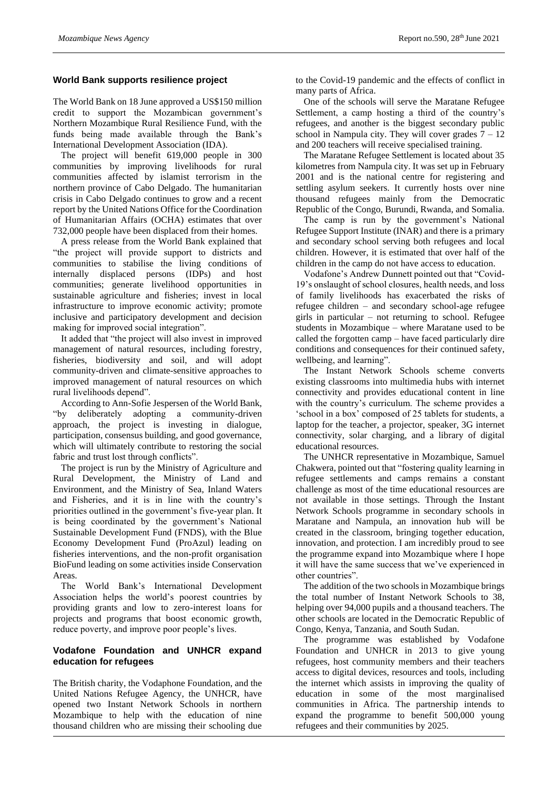#### **World Bank supports resilience project**

The World Bank on 18 June approved a US\$150 million credit to support the Mozambican government's Northern Mozambique Rural Resilience Fund, with the funds being made available through the Bank's International Development Association (IDA).

The project will benefit 619,000 people in 300 communities by improving livelihoods for rural communities affected by islamist terrorism in the northern province of Cabo Delgado. The humanitarian crisis in Cabo Delgado continues to grow and a recent report by the United Nations Office for the Coordination of Humanitarian Affairs (OCHA) estimates that over 732,000 people have been displaced from their homes.

A press release from the World Bank explained that "the project will provide support to districts and communities to stabilise the living conditions of internally displaced persons (IDPs) and host communities; generate livelihood opportunities in sustainable agriculture and fisheries; invest in local infrastructure to improve economic activity; promote inclusive and participatory development and decision making for improved social integration".

It added that "the project will also invest in improved management of natural resources, including forestry, fisheries, biodiversity and soil, and will adopt community-driven and climate-sensitive approaches to improved management of natural resources on which rural livelihoods depend".

According to Ann-Sofie Jespersen of the World Bank,<br>
"by deliberately adopting a community-driven deliberately adopting a community-driven approach, the project is investing in dialogue, participation, consensus building, and good governance, which will ultimately contribute to restoring the social fabric and trust lost through conflicts".

The project is run by the Ministry of Agriculture and Rural Development, the Ministry of Land and Environment, and the Ministry of Sea, Inland Waters and Fisheries, and it is in line with the country's priorities outlined in the government's five-year plan. It is being coordinated by the government's National Sustainable Development Fund (FNDS), with the Blue Economy Development Fund (ProAzul) leading on fisheries interventions, and the non-profit organisation BioFund leading on some activities inside Conservation Areas.

The World Bank's International Development Association helps the world's poorest countries by providing grants and low to zero-interest loans for projects and programs that boost economic growth, reduce poverty, and improve poor people's lives.

# **Vodafone Foundation and UNHCR expand education for refugees**

The British charity, the Vodaphone Foundation, and the United Nations Refugee Agency, the UNHCR, have opened two Instant Network Schools in northern Mozambique to help with the education of nine thousand children who are missing their schooling due

to the Covid-19 pandemic and the effects of conflict in many parts of Africa.

One of the schools will serve the Maratane Refugee Settlement, a camp hosting a third of the country's refugees, and another is the biggest secondary public school in Nampula city. They will cover grades  $7 - 12$ and 200 teachers will receive specialised training.

The Maratane Refugee Settlement is located about 35 kilometres from Nampula city. It was set up in February 2001 and is the national centre for registering and settling asylum seekers. It currently hosts over nine thousand refugees mainly from the Democratic Republic of the Congo, Burundi, Rwanda, and Somalia.

The camp is run by the government's National Refugee Support Institute (INAR) and there is a primary and secondary school serving both refugees and local children. However, it is estimated that over half of the children in the camp do not have access to education.

Vodafone's Andrew Dunnett pointed out that "Covid-19's onslaught of school closures, health needs, and loss of family livelihoods has exacerbated the risks of refugee children – and secondary school-age refugee girls in particular – not returning to school. Refugee students in Mozambique – where Maratane used to be called the forgotten camp – have faced particularly dire conditions and consequences for their continued safety, wellbeing, and learning".

The Instant Network Schools scheme converts existing classrooms into multimedia hubs with internet connectivity and provides educational content in line with the country's curriculum. The scheme provides a 'school in a box' composed of 25 tablets for students, a laptop for the teacher, a projector, speaker, 3G internet connectivity, solar charging, and a library of digital educational resources.

The UNHCR representative in Mozambique, Samuel Chakwera, pointed out that "fostering quality learning in refugee settlements and camps remains a constant challenge as most of the time educational resources are not available in those settings. Through the Instant Network Schools programme in secondary schools in Maratane and Nampula, an innovation hub will be created in the classroom, bringing together education, innovation, and protection. I am incredibly proud to see the programme expand into Mozambique where I hope it will have the same success that we've experienced in other countries".

The addition of the two schools in Mozambique brings the total number of Instant Network Schools to 38, helping over 94,000 pupils and a thousand teachers. The other schools are located in the Democratic Republic of Congo, Kenya, Tanzania, and South Sudan.

The programme was established by Vodafone Foundation and UNHCR in 2013 to give young refugees, host community members and their teachers access to digital devices, resources and tools, including the internet which assists in improving the quality of education in some of the most marginalised communities in Africa. The partnership intends to expand the programme to benefit 500,000 young refugees and their communities by 2025.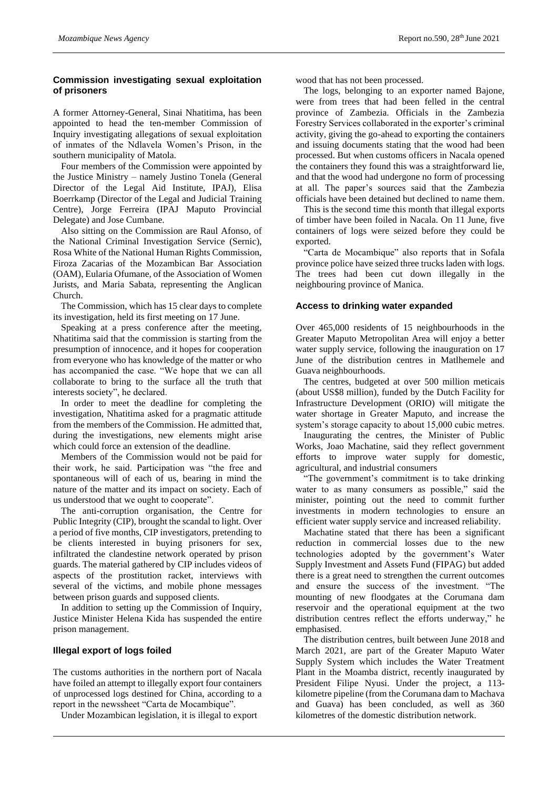#### **Commission investigating sexual exploitation of prisoners**

A former Attorney-General, Sinai Nhatitima, has been appointed to head the ten-member Commission of Inquiry investigating allegations of sexual exploitation of inmates of the Ndlavela Women's Prison, in the southern municipality of Matola.

Four members of the Commission were appointed by the Justice Ministry – namely Justino Tonela (General Director of the Legal Aid Institute, IPAJ), Elisa Boerrkamp (Director of the Legal and Judicial Training Centre), Jorge Ferreira (IPAJ Maputo Provincial Delegate) and Jose Cumbane.

Also sitting on the Commission are Raul Afonso, of the National Criminal Investigation Service (Sernic), Rosa White of the National Human Rights Commission, Firoza Zacarias of the Mozambican Bar Association (OAM), Eularia Ofumane, of the Association of Women Jurists, and Maria Sabata, representing the Anglican Church.

The Commission, which has 15 clear days to complete its investigation, held its first meeting on 17 June.

Speaking at a press conference after the meeting, Nhatitima said that the commission is starting from the presumption of innocence, and it hopes for cooperation from everyone who has knowledge of the matter or who has accompanied the case. "We hope that we can all collaborate to bring to the surface all the truth that interests society", he declared.

In order to meet the deadline for completing the investigation, Nhatitima asked for a pragmatic attitude from the members of the Commission. He admitted that, during the investigations, new elements might arise which could force an extension of the deadline.

Members of the Commission would not be paid for their work, he said. Participation was "the free and spontaneous will of each of us, bearing in mind the nature of the matter and its impact on society. Each of us understood that we ought to cooperate".

The anti-corruption organisation, the Centre for Public Integrity (CIP), brought the scandal to light. Over a period of five months, CIP investigators, pretending to be clients interested in buying prisoners for sex, infiltrated the clandestine network operated by prison guards. The material gathered by CIP includes videos of aspects of the prostitution racket, interviews with several of the victims, and mobile phone messages between prison guards and supposed clients.

In addition to setting up the Commission of Inquiry, Justice Minister Helena Kida has suspended the entire prison management.

#### **Illegal export of logs foiled**

The customs authorities in the northern port of Nacala have foiled an attempt to illegally export four containers of unprocessed logs destined for China, according to a report in the newssheet "Carta de Mocambique".

Under Mozambican legislation, it is illegal to export

wood that has not been processed.

The logs, belonging to an exporter named Bajone, were from trees that had been felled in the central province of Zambezia. Officials in the Zambezia Forestry Services collaborated in the exporter's criminal activity, giving the go-ahead to exporting the containers and issuing documents stating that the wood had been processed. But when customs officers in Nacala opened the containers they found this was a straightforward lie, and that the wood had undergone no form of processing at all. The paper's sources said that the Zambezia officials have been detained but declined to name them.

This is the second time this month that illegal exports of timber have been foiled in Nacala. On 11 June, five containers of logs were seized before they could be exported.

"Carta de Mocambique" also reports that in Sofala province police have seized three trucks laden with logs. The trees had been cut down illegally in the neighbouring province of Manica.

#### **Access to drinking water expanded**

Over 465,000 residents of 15 neighbourhoods in the Greater Maputo Metropolitan Area will enjoy a better water supply service, following the inauguration on 17 June of the distribution centres in Matlhemele and Guava neighbourhoods.

The centres, budgeted at over 500 million meticais (about US\$8 million), funded by the Dutch Facility for Infrastructure Development (ORIO) will mitigate the water shortage in Greater Maputo, and increase the system's storage capacity to about 15,000 cubic metres.

Inaugurating the centres, the Minister of Public Works, Joao Machatine, said they reflect government efforts to improve water supply for domestic, agricultural, and industrial consumers

"The government's commitment is to take drinking water to as many consumers as possible," said the minister, pointing out the need to commit further investments in modern technologies to ensure an efficient water supply service and increased reliability.

Machatine stated that there has been a significant reduction in commercial losses due to the new technologies adopted by the government's Water Supply Investment and Assets Fund (FIPAG) but added there is a great need to strengthen the current outcomes and ensure the success of the investment. "The mounting of new floodgates at the Corumana dam reservoir and the operational equipment at the two distribution centres reflect the efforts underway," he emphasised.

The distribution centres, built between June 2018 and March 2021, are part of the Greater Maputo Water Supply System which includes the Water Treatment Plant in the Moamba district, recently inaugurated by President Filipe Nyusi. Under the project, a 113 kilometre pipeline (from the Corumana dam to Machava and Guava) has been concluded, as well as 360 kilometres of the domestic distribution network.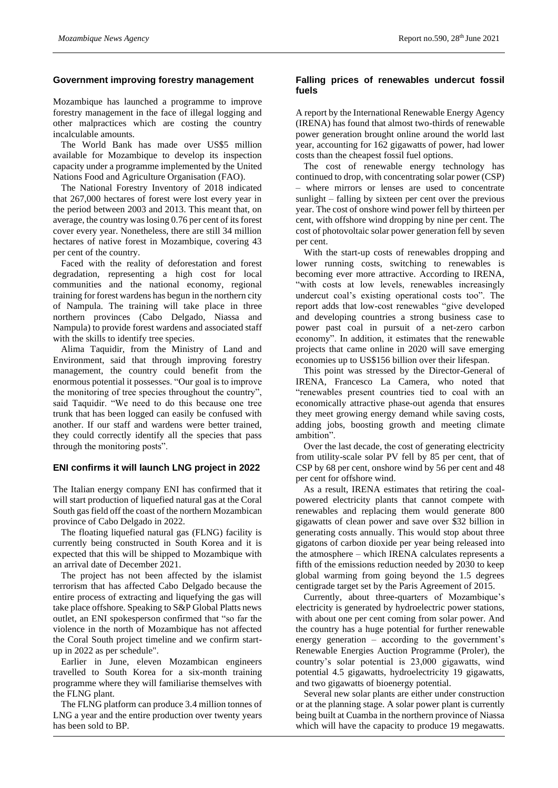#### **Government improving forestry management**

Mozambique has launched a programme to improve forestry management in the face of illegal logging and other malpractices which are costing the country incalculable amounts.

The World Bank has made over US\$5 million available for Mozambique to develop its inspection capacity under a programme implemented by the United Nations Food and Agriculture Organisation (FAO).

The National Forestry Inventory of 2018 indicated that 267,000 hectares of forest were lost every year in the period between 2003 and 2013. This meant that, on average, the country was losing 0.76 per cent of its forest cover every year. Nonetheless, there are still 34 million hectares of native forest in Mozambique, covering 43 per cent of the country.

Faced with the reality of deforestation and forest degradation, representing a high cost for local communities and the national economy, regional training for forest wardens has begun in the northern city of Nampula. The training will take place in three northern provinces (Cabo Delgado, Niassa and Nampula) to provide forest wardens and associated staff with the skills to identify tree species.

Alima Taquidir, from the Ministry of Land and Environment, said that through improving forestry management, the country could benefit from the enormous potential it possesses. "Our goal is to improve the monitoring of tree species throughout the country", said Taquidir. "We need to do this because one tree trunk that has been logged can easily be confused with another. If our staff and wardens were better trained, they could correctly identify all the species that pass through the monitoring posts".

#### **ENI confirms it will launch LNG project in 2022**

The Italian energy company ENI has confirmed that it will start production of liquefied natural gas at the Coral South gas field off the coast of the northern Mozambican province of Cabo Delgado in 2022.

The floating liquefied natural gas (FLNG) facility is currently being constructed in South Korea and it is expected that this will be shipped to Mozambique with an arrival date of December 2021.

The project has not been affected by the islamist terrorism that has affected Cabo Delgado because the entire process of extracting and liquefying the gas will take place offshore. Speaking to S&P Global Platts news outlet, an ENI spokesperson confirmed that "so far the violence in the north of Mozambique has not affected the Coral South project timeline and we confirm startup in 2022 as per schedule".

Earlier in June, eleven Mozambican engineers travelled to South Korea for a six-month training programme where they will familiarise themselves with the FLNG plant.

The FLNG platform can produce 3.4 million tonnes of LNG a year and the entire production over twenty years has been sold to BP.

#### **Falling prices of renewables undercut fossil fuels**

A report by the International Renewable Energy Agency (IRENA) has found that almost two-thirds of renewable power generation brought online around the world last year, accounting for 162 gigawatts of power, had lower costs than the cheapest fossil fuel options.

The cost of renewable energy technology has continued to drop, with concentrating solar power (CSP) where mirrors or lenses are used to concentrate sunlight – falling by sixteen per cent over the previous year. The cost of onshore wind power fell by thirteen per cent, with offshore wind dropping by nine per cent. The cost of photovoltaic solar power generation fell by seven per cent.

With the start-up costs of renewables dropping and lower running costs, switching to renewables is becoming ever more attractive. According to IRENA, "with costs at low levels, renewables increasingly undercut coal's existing operational costs too". The report adds that low-cost renewables "give developed and developing countries a strong business case to power past coal in pursuit of a net-zero carbon economy". In addition, it estimates that the renewable projects that came online in 2020 will save emerging economies up to US\$156 billion over their lifespan.

This point was stressed by the Director-General of IRENA, Francesco La Camera, who noted that "renewables present countries tied to coal with an economically attractive phase-out agenda that ensures they meet growing energy demand while saving costs, adding jobs, boosting growth and meeting climate ambition".

Over the last decade, the cost of generating electricity from utility-scale solar PV fell by 85 per cent, that of CSP by 68 per cent, onshore wind by 56 per cent and 48 per cent for offshore wind.

As a result, IRENA estimates that retiring the coalpowered electricity plants that cannot compete with renewables and replacing them would generate 800 gigawatts of clean power and save over \$32 billion in generating costs annually. This would stop about three gigatons of carbon dioxide per year being released into the atmosphere – which IRENA calculates represents a fifth of the emissions reduction needed by 2030 to keep global warming from going beyond the 1.5 degrees centigrade target set by the Paris Agreement of 2015.

Currently, about three-quarters of Mozambique's electricity is generated by hydroelectric power stations, with about one per cent coming from solar power. And the country has a huge potential for further renewable energy generation – according to the government's Renewable Energies Auction Programme (Proler), the country's solar potential is 23,000 gigawatts, wind potential 4.5 gigawatts, hydroelectricity 19 gigawatts, and two gigawatts of bioenergy potential.

Several new solar plants are either under construction or at the planning stage. A solar power plant is currently being built at Cuamba in the northern province of Niassa which will have the capacity to produce 19 megawatts.